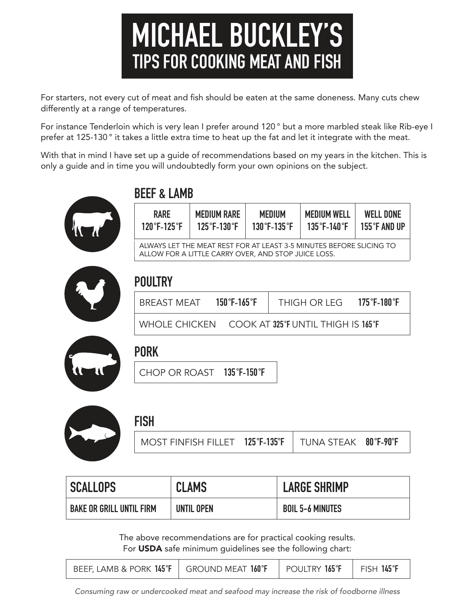# **MICHAEL BUCKLEY'S TIPS FOR COOKING MEAT AND FISH**

For starters, not every cut of meat and fish should be eaten at the same doneness. Many cuts chew differently at a range of temperatures.

For instance Tenderloin which is very lean I prefer around 120° but a more marbled steak like Rib-eye I prefer at 125-130 ° it takes a little extra time to heat up the fat and let it integrate with the meat.

With that in mind I have set up a guide of recommendations based on my years in the kitchen. This is only a guide and in time you will undoubtedly form your own opinions on the subject.



### **BEEF & LAMB**

| <b>RARE</b>                                                                                                                | <b>MEDIUM RARE</b> | MEDIUM         | <b>MEDIUM WELL</b>               | <b>WELL DONE</b>       |
|----------------------------------------------------------------------------------------------------------------------------|--------------------|----------------|----------------------------------|------------------------|
| $120^{\circ}$ F-125 $^{\circ}$ F                                                                                           | $125$ °F-130°F     | $130$ °F-135°F | $135^{\circ}$ F-140 $^{\circ}$ F | 155 $\degree$ F and up |
| ALWAYS LET THE MEAT REST FOR AT LEAST 3-5 MINUTES BEFORE SLICING TO<br>ALLOW FOR A LITTLE CARRY OVER, AND STOP JUICE LOSS. |                    |                |                                  |                        |

### **POULTRY**

| BREAST MEAT | $150^{\circ}$ F-165 $^{\circ}$ F | THIGH OR LEG 175°F-180°F                           |  |
|-------------|----------------------------------|----------------------------------------------------|--|
|             |                                  | WHOLE CHICKEN COOK AT 325 °F UNTIL THIGH IS 165 °F |  |



#### **PORK**

CHOP OR ROAST **135 °F-150 °F**



#### **FISH**

| MOST FINFISH FILLET $\,$ 125°F-135°F $\,$ TUNA STEAK $\,$ 80°F-90°F |  |  |
|---------------------------------------------------------------------|--|--|
|                                                                     |  |  |

| <b>SCALLOPS</b>                 | <b>CLAMS</b> | <b>LARGE SHRIMP</b>     |
|---------------------------------|--------------|-------------------------|
| <b>BAKE OR GRILL UNTIL FIRM</b> | UNTIL OPEN   | <b>BOIL 5-6 MINUTES</b> |

The above recommendations are for practical cooking results. For USDA safe minimum guidelines see the following chart:

| BEEF, LAMB & PORK $145^{\circ}F$   GROUND MEAT $160^{\circ}F$ | POULTRY 165°F   FISH 145°F |  |
|---------------------------------------------------------------|----------------------------|--|
|                                                               |                            |  |

*Consuming raw or undercooked meat and seafood may increase the risk of foodborne illness*